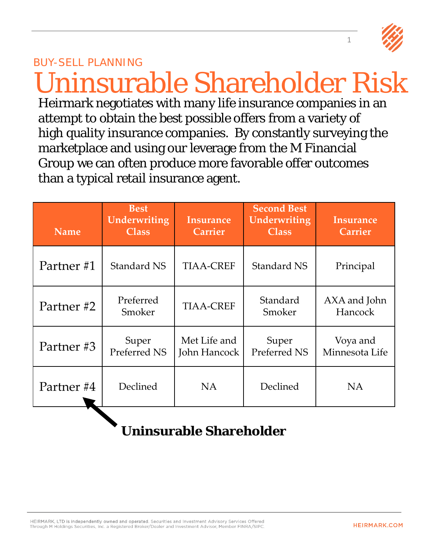1



## BUY-SELL PLANNING Uninsurable Shareholder Risk Heirmark negotiates with many life insurance companies in an attempt to obtain the best possible offers from a variety of high quality insurance companies. By constantly surveying the marketplace and using our leverage from the M Financial Group we can often produce more favorable offer outcomes than a typical retail insurance agent.

| <b>Name</b> | <b>Best</b><br>Underwriting<br><b>Class</b> | <b>Insurance</b><br><b>Carrier</b> | <b>Second Best</b><br><b>Underwriting</b><br><b>Class</b> | <b>Insurance</b><br><b>Carrier</b> |
|-------------|---------------------------------------------|------------------------------------|-----------------------------------------------------------|------------------------------------|
| Partner#1   | <b>Standard NS</b>                          | <b>TIAA-CREF</b>                   | <b>Standard NS</b>                                        | Principal                          |
| Partner#2   | Preferred<br>Smoker                         | <b>TIAA-CREF</b>                   | Standard<br>Smoker                                        | AXA and John<br>Hancock            |
| Partner#3   | Super<br><b>Preferred NS</b>                | Met Life and<br>John Hancock       | Super<br>Preferred NS                                     | Voya and<br>Minnesota Life         |
| Partner #4  | Declined                                    | <b>NA</b>                          | Declined                                                  | <b>NA</b>                          |

## **Uninsurable Shareholder**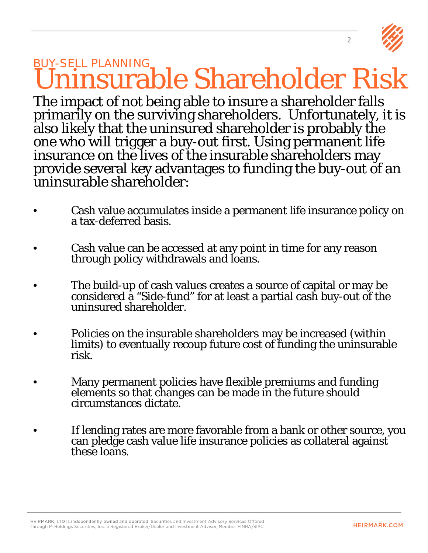

The impact of not being able to insure a shareholder falls<br>primarily on the surviving shareholders. Unfortunately, it is also likely that the uninsured shareholder is probably the one who will trigger a buy-out first. Using permanent life<br>insurance on the lives of the insurable shareholders may provide several key advantages to funding the buy-out of an uninsurable shareholder:

- Cash value accumulates inside a permanent life insurance policy on a tax-deferred basis.
- Cash value can be accessed at any point in time for any reason through policy withdrawals and loans.
- The build-up of cash values creates a source of capital or may be considered a "Side-fund" for at least a partial cash buy-out of the uninsured shareholder.
- Policies on the insurable shareholders may be increased (within limits) to eventually recoup future cost of funding the uninsurable risk.
- Many permanent policies have flexible premiums and funding elements so that changes can be made in the future should circumstances dictate.
- If lending rates are more favorable from a bank or other source, you can pledge cash value life insurance policies as collateral against these loans.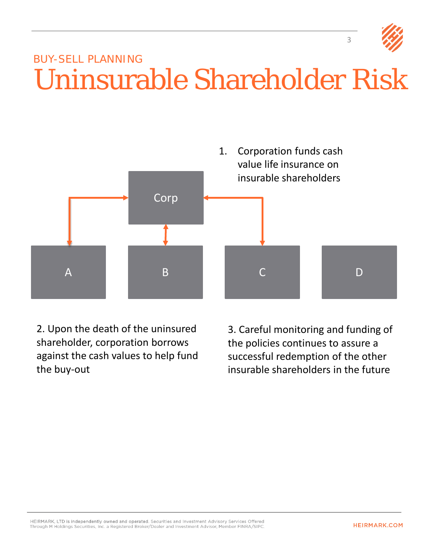3





2. Upon the death of the uninsured shareholder, corporation borrows against the cash values to help fund the buy-out

3. Careful monitoring and funding of the policies continues to assure a successful redemption of the other insurable shareholders in the future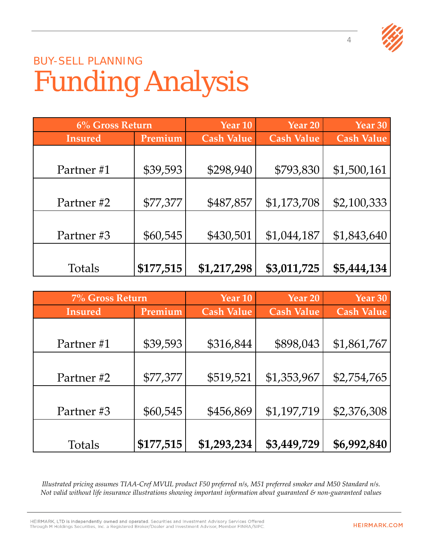

## BUY-SELL PLANNING Funding Analysis

| 6% Gross Return |           | Year 10           | Year 20           | Year 30           |
|-----------------|-----------|-------------------|-------------------|-------------------|
| <b>Insured</b>  | Premium   | <b>Cash Value</b> | <b>Cash Value</b> | <b>Cash Value</b> |
|                 |           |                   |                   |                   |
| Partner#1       | \$39,593  | \$298,940         | \$793,830         | \$1,500,161       |
|                 |           |                   |                   |                   |
| Partner#2       | \$77,377  | \$487,857         | \$1,173,708       | \$2,100,333       |
|                 |           |                   |                   |                   |
| Partner#3       | \$60,545  | \$430,501         | \$1,044,187       | \$1,843,640       |
|                 |           |                   |                   |                   |
| Totals          | \$177,515 | \$1,217,298       | \$3,011,725       | \$5,444,134       |

| 7% Gross Return |           | Year 10           | Year 20           | Year 30           |
|-----------------|-----------|-------------------|-------------------|-------------------|
| <b>Insured</b>  | Premium   | <b>Cash Value</b> | <b>Cash Value</b> | <b>Cash Value</b> |
|                 |           |                   |                   |                   |
| Partner#1       | \$39,593  | \$316,844         | \$898,043         | \$1,861,767       |
|                 |           |                   |                   |                   |
| Partner#2       | \$77,377  | \$519,521         | \$1,353,967       | \$2,754,765       |
|                 |           |                   |                   |                   |
| Partner#3       | \$60,545  | \$456,869         | \$1,197,719       | \$2,376,308       |
|                 |           |                   |                   |                   |
| Totals          | \$177,515 | \$1,293,234       | \$3,449,729       | \$6,992,840       |

*Illustrated pricing assumes TIAA-Cref MVUL product F50 preferred n/s, M51 preferred smoker and M50 Standard n/s. Not valid without life insurance illustrations showing important information about guaranteed & non-guaranteed values*